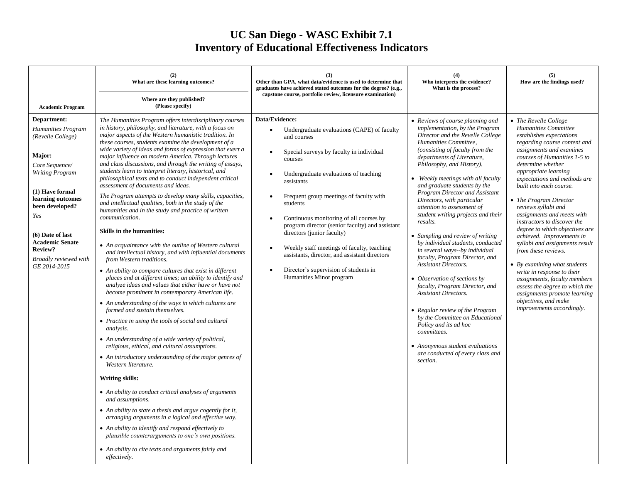## **UC San Diego - WASC Exhibit 7.1 Inventory of Educational Effectiveness Indicators**

| <b>Academic Program</b>                                                                                                                                                                                                                                                                 | (2)<br>What are these learning outcomes?<br>Where are they published?<br>(Please specify)                                                                                                                                                                                                                                                                                                                                                                                                                                                                                                                                                                                                                                                                                                                                                                                                                                                                                                                                                                                                                                                                                                                                                                                                                                                                                                                                                                                                                                                                                                                                                                                                                                                                                                                                                                                                                                                                                      | (3)<br>Other than GPA, what data/evidence is used to determine that<br>graduates have achieved stated outcomes for the degree? (e.g.,<br>capstone course, portfolio review, licensure examination)                                                                                                                                                                                                                                                                                                                                                | Who interprets the evidence?<br>What is the process?                                                                                                                                                                                                                                                                                                                                                                                                                                                                                                                                                                                                                                                                                                                                                                                                                                                                              | (5)<br>How are the findings used?                                                                                                                                                                                                                                                                                                                                                                                                                                                                                                                                                                                                                                                                                                                |
|-----------------------------------------------------------------------------------------------------------------------------------------------------------------------------------------------------------------------------------------------------------------------------------------|--------------------------------------------------------------------------------------------------------------------------------------------------------------------------------------------------------------------------------------------------------------------------------------------------------------------------------------------------------------------------------------------------------------------------------------------------------------------------------------------------------------------------------------------------------------------------------------------------------------------------------------------------------------------------------------------------------------------------------------------------------------------------------------------------------------------------------------------------------------------------------------------------------------------------------------------------------------------------------------------------------------------------------------------------------------------------------------------------------------------------------------------------------------------------------------------------------------------------------------------------------------------------------------------------------------------------------------------------------------------------------------------------------------------------------------------------------------------------------------------------------------------------------------------------------------------------------------------------------------------------------------------------------------------------------------------------------------------------------------------------------------------------------------------------------------------------------------------------------------------------------------------------------------------------------------------------------------------------------|---------------------------------------------------------------------------------------------------------------------------------------------------------------------------------------------------------------------------------------------------------------------------------------------------------------------------------------------------------------------------------------------------------------------------------------------------------------------------------------------------------------------------------------------------|-----------------------------------------------------------------------------------------------------------------------------------------------------------------------------------------------------------------------------------------------------------------------------------------------------------------------------------------------------------------------------------------------------------------------------------------------------------------------------------------------------------------------------------------------------------------------------------------------------------------------------------------------------------------------------------------------------------------------------------------------------------------------------------------------------------------------------------------------------------------------------------------------------------------------------------|--------------------------------------------------------------------------------------------------------------------------------------------------------------------------------------------------------------------------------------------------------------------------------------------------------------------------------------------------------------------------------------------------------------------------------------------------------------------------------------------------------------------------------------------------------------------------------------------------------------------------------------------------------------------------------------------------------------------------------------------------|
| Department:<br><b>Humanities Program</b><br>(Revelle College)<br>Major:<br>Core Sequence/<br><b>Writing Program</b><br>(1) Have formal<br>learning outcomes<br>been developed?<br>Yes<br>(6) Date of last<br><b>Academic Senate</b><br>Review?<br>Broadly reviewed with<br>GE 2014-2015 | The Humanities Program offers interdisciplinary courses<br>in history, philosophy, and literature, with a focus on<br>major aspects of the Western humanistic tradition. In<br>these courses, students examine the development of a<br>wide variety of ideas and forms of expression that exert a<br>major influence on modern America. Through lectures<br>and class discussions, and through the writing of essays,<br>students learn to interpret literary, historical, and<br>philosophical texts and to conduct independent critical<br>assessment of documents and ideas.<br>The Program attempts to develop many skills, capacities,<br>and intellectual qualities, both in the study of the<br>humanities and in the study and practice of written<br>communication.<br><b>Skills in the humanities:</b><br>• An acquaintance with the outline of Western cultural<br>and intellectual history, and with influential documents<br>from Western traditions.<br>• An ability to compare cultures that exist in different<br>places and at different times; an ability to identify and<br>analyze ideas and values that either have or have not<br>become prominent in contemporary American life.<br>• An understanding of the ways in which cultures are<br>formed and sustain themselves.<br>• Practice in using the tools of social and cultural<br><i>analysis.</i><br>• An understanding of a wide variety of political,<br>religious, ethical, and cultural assumptions.<br>• An introductory understanding of the major genres of<br>Western literature.<br>Writing skills:<br>• An ability to conduct critical analyses of arguments<br>and assumptions.<br>• An ability to state a thesis and argue cogently for it,<br>arranging arguments in a logical and effective way.<br>• An ability to identify and respond effectively to<br>plausible counterarguments to one's own positions.<br>• An ability to cite texts and arguments fairly and<br>effectively. | Data/Evidence:<br>Undergraduate evaluations (CAPE) of faculty<br>and courses<br>Special surveys by faculty in individual<br>courses<br>Undergraduate evaluations of teaching<br>assistants<br>Frequent group meetings of faculty with<br>students<br>Continuous monitoring of all courses by<br>program director (senior faculty) and assistant<br>directors (junior faculty)<br>Weekly staff meetings of faculty, teaching<br>assistants, director, and assistant directors<br>Director's supervision of students in<br>Humanities Minor program | • Reviews of course planning and<br>implementation, by the Program<br>Director and the Revelle College<br>Humanities Committee,<br>(consisting of faculty from the<br>departments of Literature,<br>Philosophy, and History).<br>• Weekly meetings with all faculty<br>and graduate students by the<br>Program Director and Assistant<br>Directors, with particular<br>attention to assessment of<br>student writing projects and their<br>results.<br>• Sampling and review of writing<br>by individual students, conducted<br>in several ways--by individual<br>faculty, Program Director, and<br><b>Assistant Directors.</b><br>• Observation of sections by<br>faculty, Program Director, and<br><b>Assistant Directors.</b><br>• Regular review of the Program<br>by the Committee on Educational<br>Policy and its ad hoc<br>committees.<br>• Anonymous student evaluations<br>are conducted of every class and<br>section. | • The Revelle College<br>Humanities Committee<br>establishes expectations<br>regarding course content and<br>assignments and examines<br>courses of Humanities 1-5 to<br>determine whether<br>appropriate learning<br>expectations and methods are<br>built into each course.<br>• The Program Director<br>reviews syllabi and<br>assignments and meets with<br>instructors to discover the<br>degree to which objectives are<br>achieved. Improvements in<br>syllabi and assignments result<br>from these reviews.<br>$\bullet$ By examining what students<br>write in response to their<br>assignments, faculty members<br>assess the degree to which the<br>assignments promote learning<br>objectives, and make<br>improvements accordingly. |